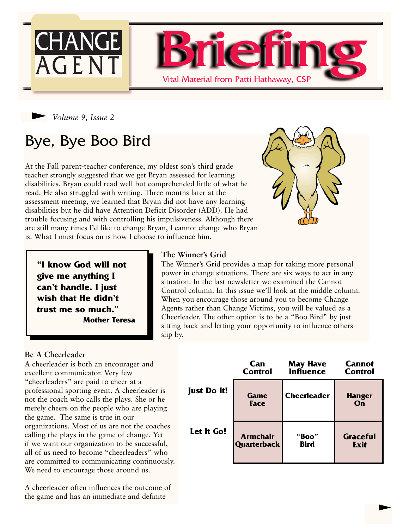



# Bye, Bye Boo Bird

At the Fall parent-teacher conference, my oldest son's third grade teacher strongly suggested that we get Bryan assessed for learning disabilities. Bryan could read well but comprehended little of what he read. He also struggled with writing. Three months later at the assessment meeting, we learned that Bryan did not have any learning disabilities but he did have Attention Deficit Disorder (ADD). He had trouble focusing and with controlling his impulsiveness. Although there are still many times I'd like to change Bryan, I cannot change who Bryan is. What I must focus on is how I choose to influence him.

**"I know God will not give me anything I can't handle. I just wish that He didn't trust me so much." Mother Teresa**

### **The Winner's Grid**

The Winner's Grid provides a map for taking more personal power in change situations. There are six ways to act in any situation. In the last newsletter we examined the Cannot Control column. In this issue we'll look at the middle column. When you encourage those around you to become Change Agents rather than Change Victims, you will be valued as a Cheerleader. The other option is to be a "Boo Bird" by just sitting back and letting your opportunity to influence others slip by.

#### **Be A Cheerleader**

A cheerleader is both an encourager and excellent communicator. Very few "cheerleaders" are paid to cheer at a professional sporting event. A cheerleader is not the coach who calls the plays. She or he merely cheers on the people who are playing the game. The same is true in our organizations. Most of us are not the coaches calling the plays in the game of change. Yet if we want our organization to be successful, all of us need to become "cheerleaders" who are committed to communicating continuously. We need to encourage those around us.

A cheerleader often influences the outcome of the game and has an immediate and definite

|                    | Can                | <b>May Have</b>    | <b>Cannot</b>       |
|--------------------|--------------------|--------------------|---------------------|
|                    | <b>Control</b>     | <b>Influence</b>   | <b>Control</b>      |
| <b>Just Do It!</b> | Game<br>Face       | <b>Cheerleader</b> | <b>Hanger</b><br>On |
| Let It Go!         | <b>Armchair</b>    | "Boo"              | <b>Graceful</b>     |
|                    | <b>Quarterback</b> | <b>Bird</b>        | <b>Exit</b>         |

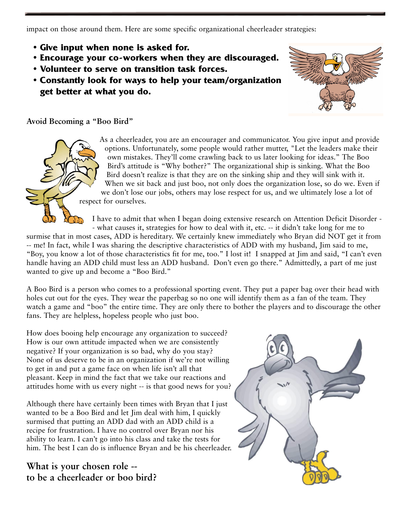impact on those around them. Here are some specific organizational cheerleader strategies:

- **• Give input when none is asked for.**
- **• Encourage your co-workers when they are discouraged.**
- **• Volunteer to serve on transition task forces.**
- **Constantly look for ways to help your team/organization get better at what you do.**



### **Avoid Becoming a "Boo Bird"**

As a cheerleader, you are an encourager and communicator. You give input and provide options. Unfortunately, some people would rather mutter, "Let the leaders make their own mistakes. They'll come crawling back to us later looking for ideas." The Boo Bird's attitude is "Why bother?" The organizational ship is sinking. What the Boo Bird doesn't realize is that they are on the sinking ship and they will sink with it. When we sit back and just boo, not only does the organization lose, so do we. Even if we don't lose our jobs, others may lose respect for us, and we ultimately lose a lot of respect for ourselves.

I have to admit that when I began doing extensive research on Attention Deficit Disorder - - what causes it, strategies for how to deal with it, etc. -- it didn't take long for me to

surmise that in most cases, ADD is hereditary. We certainly knew immediately who Bryan did NOT get it from -- me! In fact, while I was sharing the descriptive characteristics of ADD with my husband, Jim said to me, "Boy, you know a lot of those characteristics fit for me, too." I lost it! I snapped at Jim and said, "I can't even handle having an ADD child must less an ADD husband. Don't even go there." Admittedly, a part of me just wanted to give up and become a "Boo Bird."

A Boo Bird is a person who comes to a professional sporting event. They put a paper bag over their head with holes cut out for the eyes. They wear the paperbag so no one will identify them as a fan of the team. They watch a game and "boo" the entire time. They are only there to bother the players and to discourage the other fans. They are helpless, hopeless people who just boo.

How does booing help encourage any organization to succeed? How is our own attitude impacted when we are consistently negative? If your organization is so bad, why do you stay? None of us deserve to be in an organization if we're not willing to get in and put a game face on when life isn't all that pleasant. Keep in mind the fact that we take our reactions and attitudes home with us every night -- is that good news for you?

Although there have certainly been times with Bryan that I just wanted to be a Boo Bird and let Jim deal with him, I quickly surmised that putting an ADD dad with an ADD child is a recipe for frustration. I have no control over Bryan nor his ability to learn. I can't go into his class and take the tests for him. The best I can do is influence Bryan and be his cheerleader.

**What is your chosen role - to be a cheerleader or boo bird?**